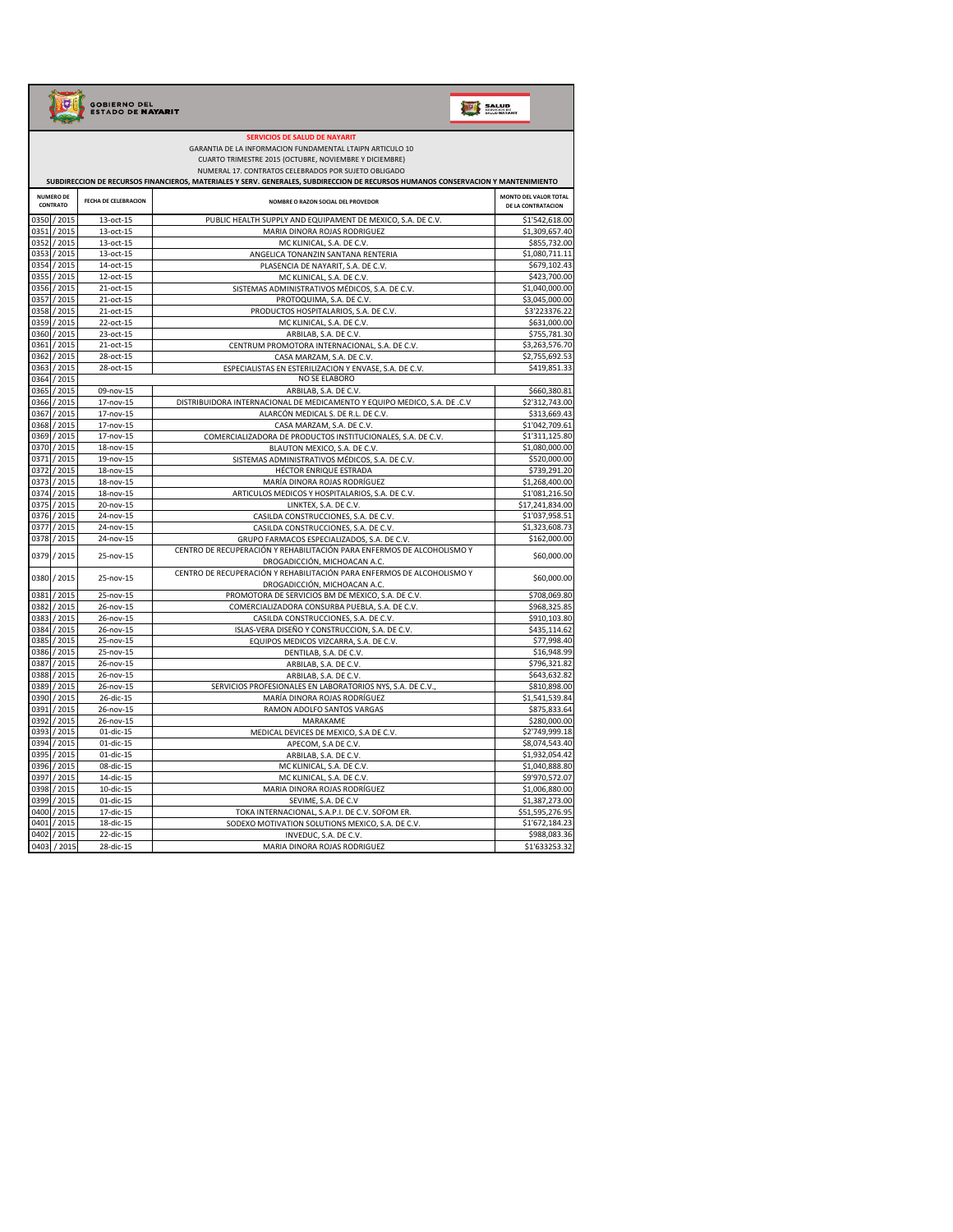